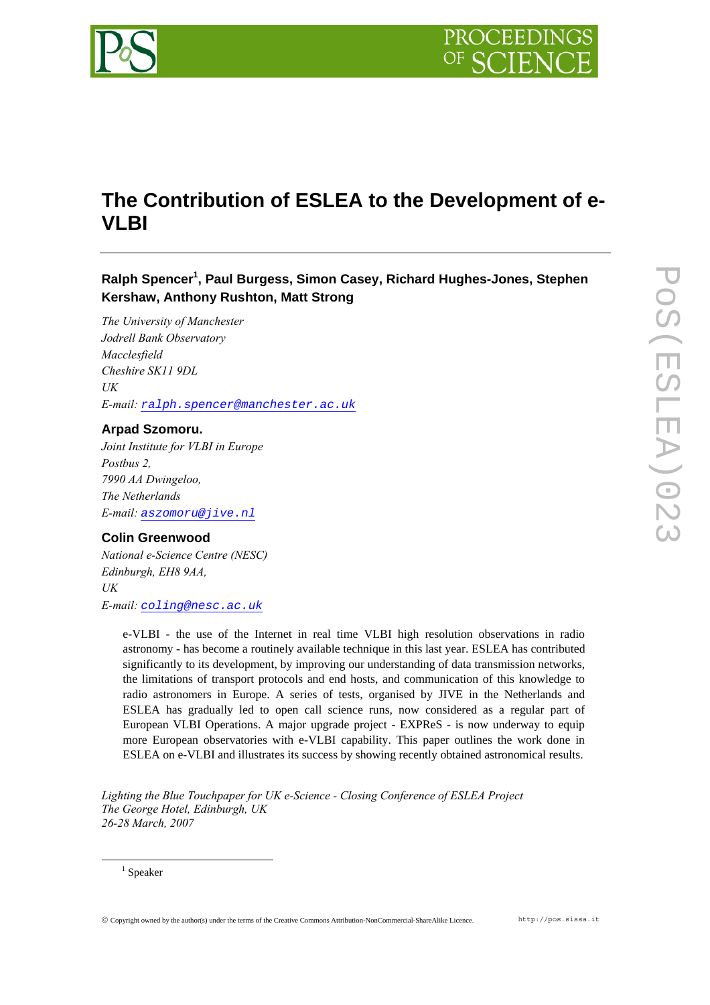

# **The Contribution of ESLEA to the Development of e-VLBI**

# **Ralph Spence[r1](#page-0-0) , Paul Burgess, Simon Casey, Richard Hughes-Jones, Stephen Kershaw, Anthony Rushton, Matt Strong**

*The University of Manchester Jodrell Bank Observatory Macclesfield Cheshire SK11 9DL UK E-mail: [ralph.spencer@manchester.ac.uk](mailto:ralph.spencer@manchester.ac.uk)* 

# **Arpad Szomoru.**

*Joint Institute for VLBI in Europe Postbus 2, 7990 AA Dwingeloo, The Netherlands E-mail: [aszomoru@jive.nl](mailto:aszomoru@jive.nl)*

### **Colin Greenwood**

*National e-Science Centre (NESC) Edinburgh, EH8 9AA, UK E-mail: [coling@nesc.ac.uk](mailto:coling@nesc.ac.uk)* 

> e-VLBI - the use of the Internet in real time VLBI high resolution observations in radio astronomy - has become a routinely available technique in this last year. ESLEA has contributed significantly to its development, by improving our understanding of data transmission networks, the limitations of transport protocols and end hosts, and communication of this knowledge to radio astronomers in Europe. A series of tests, organised by JIVE in the Netherlands and ESLEA has gradually led to open call science runs, now considered as a regular part of European VLBI Operations. A major upgrade project - EXPReS - is now underway to equip more European observatories with e-VLBI capability. This paper outlines the work done in ESLEA on e-VLBI and illustrates its success by showing recently obtained astronomical results.

*Lighting the Blue Touchpaper for UK e-Science - Closing Conference of ESLEA Project The George Hotel, Edinburgh, UK 26-28 March, 2007*

<span id="page-0-0"></span> $1$  Speaker

 $\frac{1}{1}$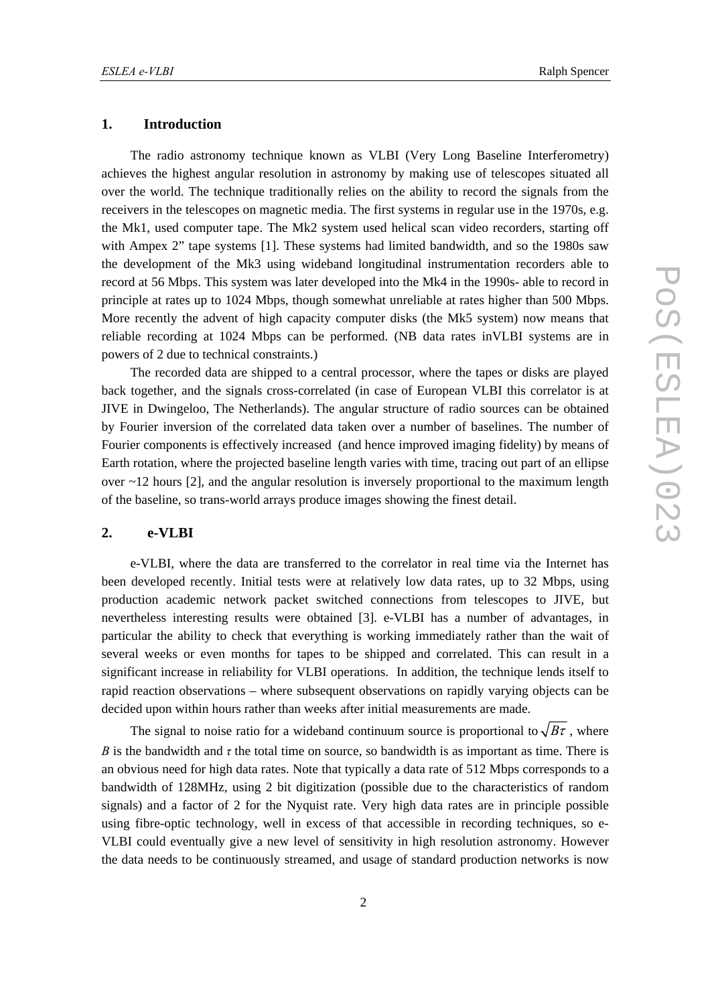#### **1. Introduction**

The radio astronomy technique known as VLBI (Very Long Baseline Interferometry) achieves the highest angular resolution in astronomy by making use of telescopes situated all over the world. The technique traditionally relies on the ability to record the signals from the receivers in the telescopes on magnetic media. The first systems in regular use in the 1970s, e.g. the Mk1, used computer tape. The Mk2 system used helical scan video recorders, starting off with Ampex 2" tape systems [1]. These systems had limited bandwidth, and so the 1980s saw the development of the Mk3 using wideband longitudinal instrumentation recorders able to record at 56 Mbps. This system was later developed into the Mk4 in the 1990s- able to record in principle at rates up to 1024 Mbps, though somewhat unreliable at rates higher than 500 Mbps. More recently the advent of high capacity computer disks (the Mk5 system) now means that reliable recording at 1024 Mbps can be performed. (NB data rates inVLBI systems are in powers of 2 due to technical constraints.)

The recorded data are shipped to a central processor, where the tapes or disks are played back together, and the signals cross-correlated (in case of European VLBI this correlator is at JIVE in Dwingeloo, The Netherlands). The angular structure of radio sources can be obtained by Fourier inversion of the correlated data taken over a number of baselines. The number of Fourier components is effectively increased (and hence improved imaging fidelity) by means of Earth rotation, where the projected baseline length varies with time, tracing out part of an ellipse over  $\sim$  12 hours [2], and the angular resolution is inversely proportional to the maximum length of the baseline, so trans-world arrays produce images showing the finest detail.

#### **2. e-VLBI**

e-VLBI, where the data are transferred to the correlator in real time via the Internet has been developed recently. Initial tests were at relatively low data rates, up to 32 Mbps, using production academic network packet switched connections from telescopes to JIVE, but nevertheless interesting results were obtained [3]. e-VLBI has a number of advantages, in particular the ability to check that everything is working immediately rather than the wait of several weeks or even months for tapes to be shipped and correlated. This can result in a significant increase in reliability for VLBI operations. In addition, the technique lends itself to rapid reaction observations – where subsequent observations on rapidly varying objects can be decided upon within hours rather than weeks after initial measurements are made.

The signal to noise ratio for a wideband continuum source is proportional to  $\sqrt{B\tau}$ , where *B* is the bandwidth and  $\tau$  the total time on source, so bandwidth is as important as time. There is an obvious need for high data rates. Note that typically a data rate of 512 Mbps corresponds to a bandwidth of 128MHz, using 2 bit digitization (possible due to the characteristics of random signals) and a factor of 2 for the Nyquist rate. Very high data rates are in principle possible using fibre-optic technology, well in excess of that accessible in recording techniques, so e-VLBI could eventually give a new level of sensitivity in high resolution astronomy. However the data needs to be continuously streamed, and usage of standard production networks is now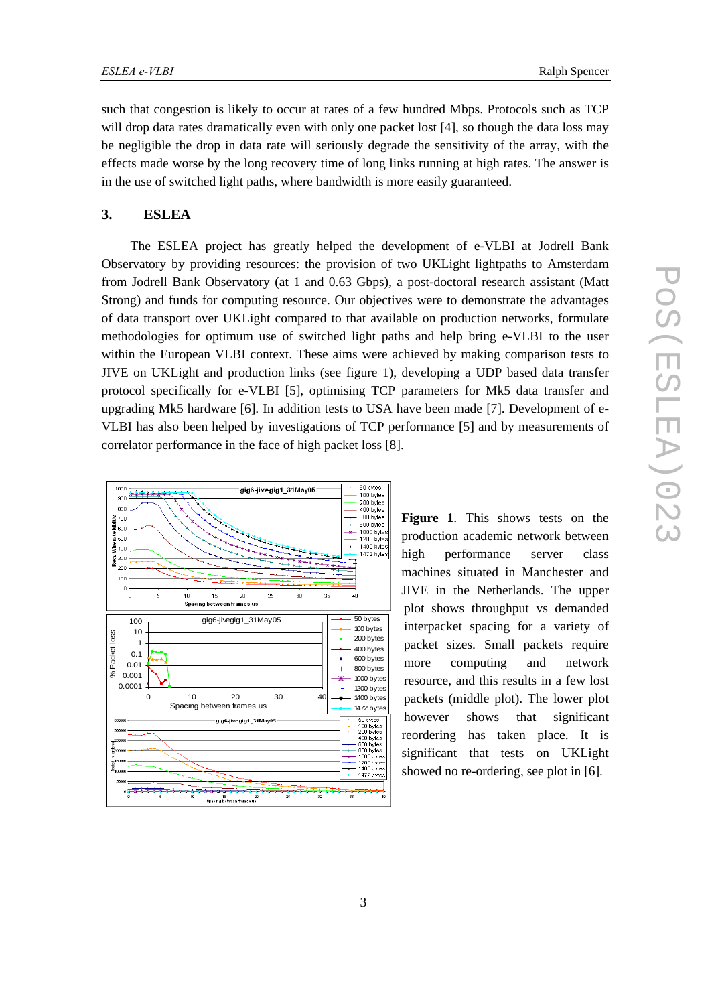such that congestion is likely to occur at rates of a few hundred Mbps. Protocols such as TCP will drop data rates dramatically even with only one packet lost [4], so though the data loss may be negligible the drop in data rate will seriously degrade the sensitivity of the array, with the effects made worse by the long recovery time of long links running at high rates. The answer is in the use of switched light paths, where bandwidth is more easily guaranteed.

## **3. ESLEA**

The ESLEA project has greatly helped the development of e-VLBI at Jodrell Bank Observatory by providing resources: the provision of two UKLight lightpaths to Amsterdam from Jodrell Bank Observatory (at 1 and 0.63 Gbps), a post-doctoral research assistant (Matt Strong) and funds for computing resource. Our objectives were to demonstrate the advantages of data transport over UKLight compared to that available on production networks, formulate methodologies for optimum use of switched light paths and help bring e-VLBI to the user within the European VLBI context. These aims were achieved by making comparison tests to JIVE on UKLight and production links (see figure 1), developing a UDP based data transfer protocol specifically for e-VLBI [5], optimising TCP parameters for Mk5 data transfer and upgrading Mk5 hardware [6]. In addition tests to USA have been made [7]. Development of e-VLBI has also been helped by investigations of TCP performance [5] and by measurements of correlator performance in the face of high packet loss [8].



**Figure 1**. This shows tests on the production academic network between high performance server class machines situated in Manchester and JIVE in the Netherlands. The upper plot shows throughput vs demanded interpacket spacing for a variety of packet sizes. Small packets require more computing and network resource, and this results in a few lost packets (middle plot). The lower plot however shows that significant reordering has taken place. It is significant that tests on UKLight showed no re-ordering, see plot in [6].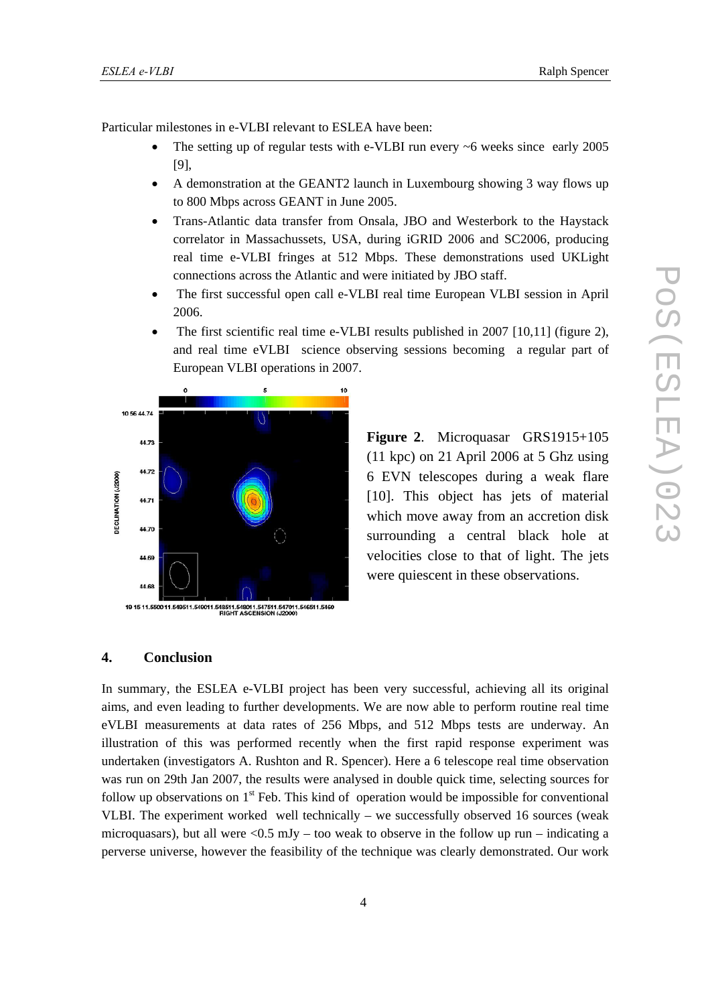Particular milestones in e-VLBI relevant to ESLEA have been:

- The setting up of regular tests with e-VLBI run every ~6 weeks since early 2005 [9],
- A demonstration at the GEANT2 launch in Luxembourg showing 3 way flows up to 800 Mbps across GEANT in June 2005.
- Trans-Atlantic data transfer from Onsala, JBO and Westerbork to the Haystack correlator in Massachussets, USA, during iGRID 2006 and SC2006, producing real time e-VLBI fringes at 512 Mbps. These demonstrations used UKLight connections across the Atlantic and were initiated by JBO staff.
- The first successful open call e-VLBI real time European VLBI session in April 2006.
- The first scientific real time e-VLBI results published in 2007 [10,11] (figure 2), and real time eVLBI science observing sessions becoming a regular part of European VLBI operations in 2007.



19 15 11.5500 11.549511.549011.548511.548011.547511.547011.546511.5460<br>RIGHT ASCENSION (J2000)

**Figure 2**. Microquasar GRS1915+105 (11 kpc) on 21 April 2006 at 5 Ghz using 6 EVN telescopes during a weak flare [10]. This object has jets of material which move away from an accretion disk surrounding a central black hole at velocities close to that of light. The jets were quiescent in these observations.

#### **4. Conclusion**

In summary, the ESLEA e-VLBI project has been very successful, achieving all its original aims, and even leading to further developments. We are now able to perform routine real time eVLBI measurements at data rates of 256 Mbps, and 512 Mbps tests are underway. An illustration of this was performed recently when the first rapid response experiment was undertaken (investigators A. Rushton and R. Spencer). Here a 6 telescope real time observation was run on 29th Jan 2007, the results were analysed in double quick time, selecting sources for follow up observations on  $1<sup>st</sup>$  Feb. This kind of operation would be impossible for conventional VLBI. The experiment worked well technically – we successfully observed 16 sources (weak microquasars), but all were  $\langle 0.5 \text{ mJy} - \text{too} \text{ weak to observe in the follow up run } - \text{indicating a}$ perverse universe, however the feasibility of the technique was clearly demonstrated. Our work